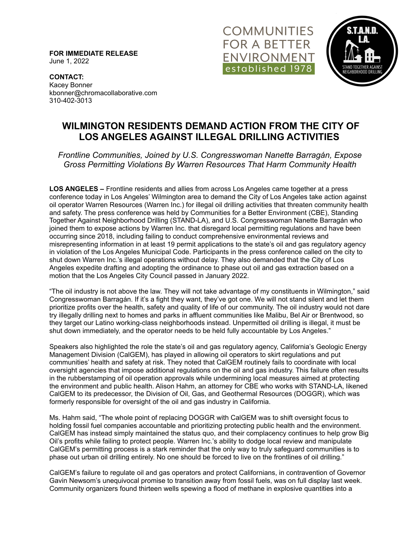**FOR IMMEDIATE RELEASE** June 1, 2022





**CONTACT:** Kacey Bonner kbonner@chromacollaborative.com 310-402-3013

## **WILMINGTON RESIDENTS DEMAND ACTION FROM THE CITY OF LOS ANGELES AGAINST ILLEGAL DRILLING ACTIVITIES**

*Frontline Communities, Joined by U.S. Congresswoman Nanette Barragán, Expose Gross Permitting Violations By Warren Resources That Harm Community Health*

**LOS ANGELES –** Frontline residents and allies from across Los Angeles came together at a press conference today in Los Angeles' Wilmington area to demand the City of Los Angeles take action against oil operator Warren Resources (Warren Inc.) for illegal oil drilling activities that threaten community health and safety. The press conference was held by Communities for a Better Environment (CBE), Standing Together Against Neighborhood Drilling (STAND-LA), and U.S. Congresswoman Nanette Barragán who joined them to expose actions by Warren Inc. that disregard local permitting regulations and have been occurring since 2018, including failing to conduct comprehensive environmental reviews and misrepresenting information in at least 19 permit applications to the state's oil and gas regulatory agency in violation of the Los Angeles Municipal Code. Participants in the press conference called on the city to shut down Warren Inc.'s illegal operations without delay. They also demanded that the City of Los Angeles expedite drafting and adopting the ordinance to phase out oil and gas extraction based on a motion that the Los Angeles City Council passed in January 2022.

"The oil industry is not above the law. They will not take advantage of my constituents in Wilmington," said Congresswoman Barragán. If it's a fight they want, they've got one. We will not stand silent and let them prioritize profits over the health, safety and quality of life of our community. The oil industry would not dare try illegally drilling next to homes and parks in affluent communities like Malibu, Bel Air or Brentwood, so they target our Latino working-class neighborhoods instead. Unpermitted oil drilling is illegal, it must be shut down immediately, and the operator needs to be held fully accountable by Los Angeles."

Speakers also highlighted the role the state's oil and gas regulatory agency, California's Geologic Energy Management Division (CalGEM), has played in allowing oil operators to skirt regulations and put communities' health and safety at risk. They noted that CalGEM routinely fails to coordinate with local oversight agencies that impose additional regulations on the oil and gas industry. This failure often results in the rubberstamping of oil operation approvals while undermining local measures aimed at protecting the environment and public health. Alison Hahm, an attorney for CBE who works with STAND-LA, likened CalGEM to its predecessor, the Division of Oil, Gas, and Geothermal Resources (DOGGR), which was formerly responsible for oversight of the oil and gas industry in California.

Ms. Hahm said, "The whole point of replacing DOGGR with CalGEM was to shift oversight focus to holding fossil fuel companies accountable and prioritizing protecting public health and the environment. CalGEM has instead simply maintained the status quo, and their complacency continues to help grow Big Oil's profits while failing to protect people. Warren Inc.'s ability to dodge local review and manipulate CalGEM's permitting process is a stark reminder that the only way to truly safeguard communities is to phase out urban oil drilling entirely. No one should be forced to live on the frontlines of oil drilling."

CalGEM's failure to regulate oil and gas operators and protect Californians, in contravention of Governor Gavin Newsom's unequivocal promise to transition away from fossil fuels, was on full display last week. Community organizers found thirteen wells spewing a flood of methane in explosive quantities into a